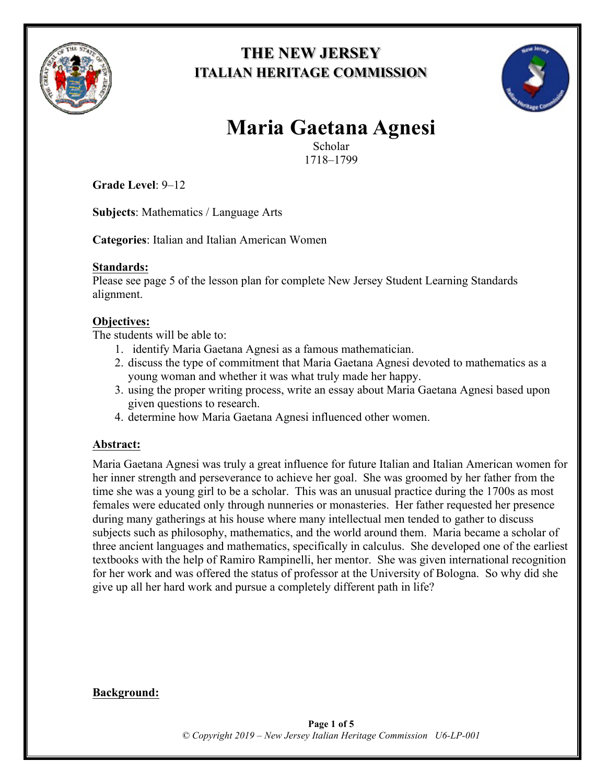

# **THE NEW JERSEY ITALIAN HERITAGE COMMISSION**



# **Maria Gaetana Agnesi**

Scholar 1718–1799

**Grade Level**: 9–12

**Subjects**: Mathematics / Language Arts

**Categories**: Italian and Italian American Women

## **Standards:**

Please see page 5 of the lesson plan for complete New Jersey Student Learning Standards alignment.

# **Objectives:**

The students will be able to:

- 1. identify Maria Gaetana Agnesi as a famous mathematician.
- 2. discuss the type of commitment that Maria Gaetana Agnesi devoted to mathematics as a young woman and whether it was what truly made her happy.
- 3. using the proper writing process, write an essay about Maria Gaetana Agnesi based upon given questions to research.
- 4. determine how Maria Gaetana Agnesi influenced other women.

# **Abstract:**

Maria Gaetana Agnesi was truly a great influence for future Italian and Italian American women for her inner strength and perseverance to achieve her goal. She was groomed by her father from the time she was a young girl to be a scholar. This was an unusual practice during the 1700s as most females were educated only through nunneries or monasteries. Her father requested her presence during many gatherings at his house where many intellectual men tended to gather to discuss subjects such as philosophy, mathematics, and the world around them. Maria became a scholar of three ancient languages and mathematics, specifically in calculus. She developed one of the earliest textbooks with the help of Ramiro Rampinelli, her mentor. She was given international recognition for her work and was offered the status of professor at the University of Bologna. So why did she give up all her hard work and pursue a completely different path in life?

# **Background:**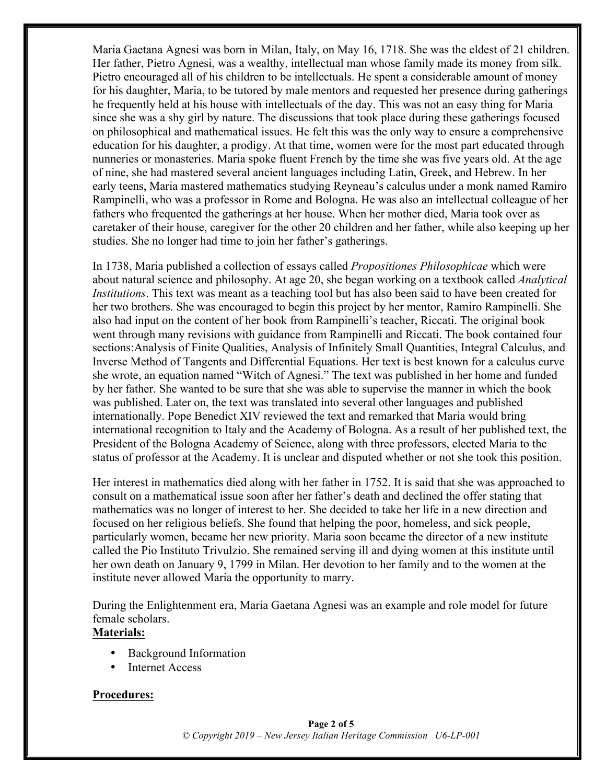Maria Gaetana Agnesi was born in Milan, Italy, on May 16, 1718. She was the eldest of 21 children. Her father, Pietro Agnesi, was a wealthy, intellectual man whose family made its money from silk. Pietro encouraged all of his children to be intellectuals. He spent a considerable amount of money for his daughter, Maria, to be tutored by male mentors and requested her presence during gatherings he frequently held at his house with intellectuals of the day. This was not an easy thing for Maria since she was a shy girl by nature. The discussions that took place during these gatherings focused on philosophical and mathematical issues. He felt this was the only way to ensure a comprehensive education for his daughter, a prodigy. At that time, women were for the most part educated through nunneries or monasteries. Maria spoke fluent French by the time she was five years old. At the age of nine, she had mastered several ancient languages including Latin, Greek, and Hebrew. In her early teens, Maria mastered mathematics studying Reyneau's calculus under a monk named Ramiro Rampinelli, who was a professor in Rome and Bologna. He was also an intellectual colleague of her fathers who frequented the gatherings at her house. When her mother died, Maria took over as caretaker of their house, caregiver for the other 20 children and her father, while also keeping up her studies. She no longer had time to join her father's gatherings.

In 1738, Maria published a collection of essays called *Propositiones Philosophicae* which were about natural science and philosophy. At age 20, she began working on a textbook called *Analytical Institutions*. This text was meant as a teaching tool but has also been said to have been created for her two brothers. She was encouraged to begin this project by her mentor, Ramiro Rampinelli. She also had input on the content of her book from Rampinelli's teacher, Riccati. The original book went through many revisions with guidance from Rampinelli and Riccati. The book contained four sections:Analysis of Finite Qualities, Analysis of Infinitely Small Quantities, Integral Calculus, and Inverse Method of Tangents and Differential Equations. Her text is best known for a calculus curve she wrote, an equation named "Witch of Agnesi." The text was published in her home and funded by her father. She wanted to be sure that she was able to supervise the manner in which the book was published. Later on, the text was translated into several other languages and published internationally. Pope Benedict XIV reviewed the text and remarked that Maria would bring international recognition to Italy and the Academy of Bologna. As a result of her published text, the President of the Bologna Academy of Science, along with three professors, elected Maria to the status of professor at the Academy. It is unclear and disputed whether or not she took this position.

Her interest in mathematics died along with her father in 1752. It is said that she was approached to consult on a mathematical issue soon after her father's death and declined the offer stating that mathematics was no longer of interest to her. She decided to take her life in a new direction and focused on her religious beliefs. She found that helping the poor, homeless, and sick people, particularly women, became her new priority. Maria soon became the director of a new institute called the Pio Instituto Trivulzio. She remained serving ill and dying women at this institute until her own death on January 9, 1799 in Milan. Her devotion to her family and to the women at the institute never allowed Maria the opportunity to marry.

During the Enlightenment era, Maria Gaetana Agnesi was an example and role model for future female scholars.

# **Materials:**

- Background Information
- **Internet Access**

#### **Procedures:**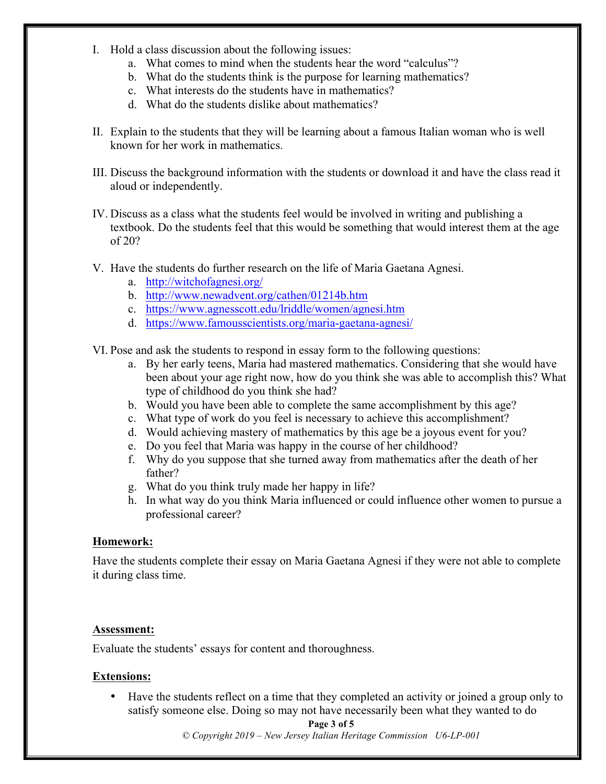- I. Hold a class discussion about the following issues:
	- a. What comes to mind when the students hear the word "calculus"?
	- b. What do the students think is the purpose for learning mathematics?
	- c. What interests do the students have in mathematics?
	- d. What do the students dislike about mathematics?
- II. Explain to the students that they will be learning about a famous Italian woman who is well known for her work in mathematics.
- III. Discuss the background information with the students or download it and have the class read it aloud or independently.
- IV. Discuss as a class what the students feel would be involved in writing and publishing a textbook. Do the students feel that this would be something that would interest them at the age of 20?
- V. Have the students do further research on the life of Maria Gaetana Agnesi.
	- a. http://witchofagnesi.org/
	- b. http://www.newadvent.org/cathen/01214b.htm
	- c. https://www.agnesscott.edu/lriddle/women/agnesi.htm
	- d. https://www.famousscientists.org/maria-gaetana-agnesi/

VI. Pose and ask the students to respond in essay form to the following questions:

- a. By her early teens, Maria had mastered mathematics. Considering that she would have been about your age right now, how do you think she was able to accomplish this? What type of childhood do you think she had?
- b. Would you have been able to complete the same accomplishment by this age?
- c. What type of work do you feel is necessary to achieve this accomplishment?
- d. Would achieving mastery of mathematics by this age be a joyous event for you?
- e. Do you feel that Maria was happy in the course of her childhood?
- f. Why do you suppose that she turned away from mathematics after the death of her father?
- g. What do you think truly made her happy in life?
- h. In what way do you think Maria influenced or could influence other women to pursue a professional career?

#### **Homework:**

Have the students complete their essay on Maria Gaetana Agnesi if they were not able to complete it during class time.

#### **Assessment:**

Evaluate the students' essays for content and thoroughness.

#### **Extensions:**

• Have the students reflect on a time that they completed an activity or joined a group only to satisfy someone else. Doing so may not have necessarily been what they wanted to do

#### **Page 3 of 5**

*© Copyright 2019 – New Jersey Italian Heritage Commission U6-LP-001*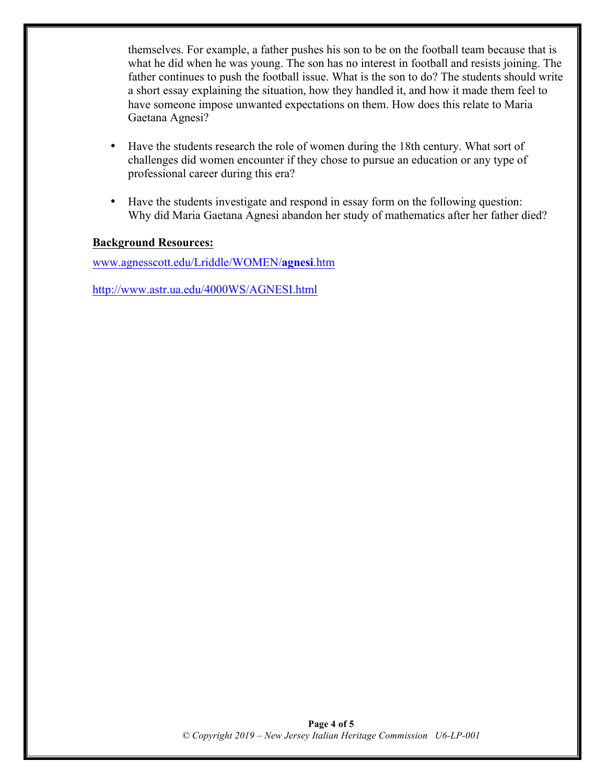themselves. For example, a father pushes his son to be on the football team because that is what he did when he was young. The son has no interest in football and resists joining. The father continues to push the football issue. What is the son to do? The students should write a short essay explaining the situation, how they handled it, and how it made them feel to have someone impose unwanted expectations on them. How does this relate to Maria Gaetana Agnesi?

- Have the students research the role of women during the 18th century. What sort of challenges did women encounter if they chose to pursue an education or any type of professional career during this era?
- Have the students investigate and respond in essay form on the following question: Why did Maria Gaetana Agnesi abandon her study of mathematics after her father died?

#### **Background Resources:**

www.agnesscott.edu/Lriddle/WOMEN/**agnesi**.htm

http://www.astr.ua.edu/4000WS/AGNESI.html